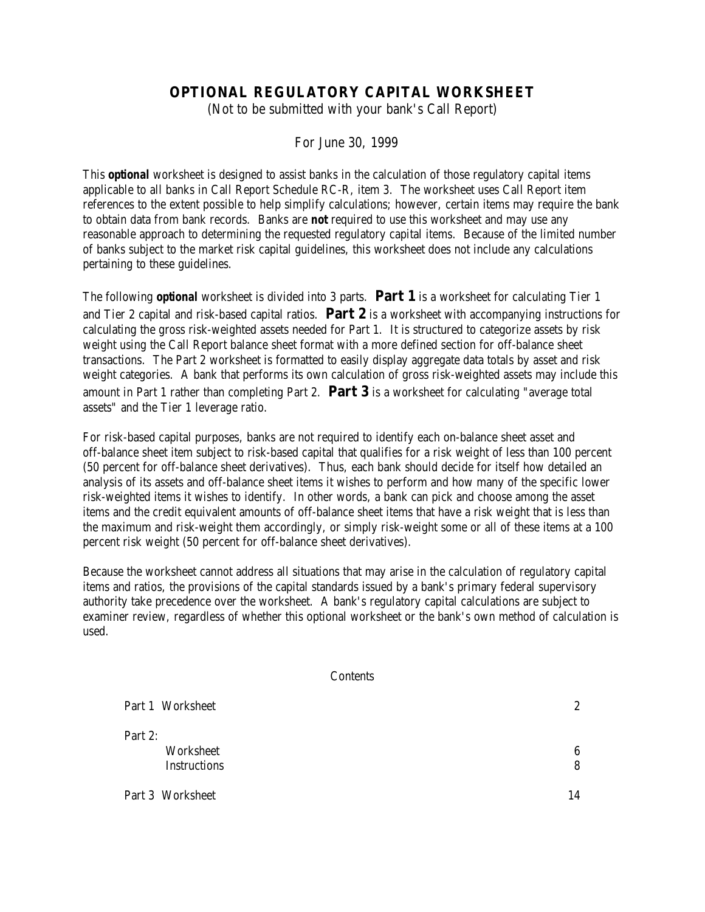# **OPTIONAL REGULATORY CAPITAL WORKSHEET**

(Not to be submitted with your bank's Call Report)

For June 30, 1999

This *optional* worksheet is designed to assist banks in the calculation of those regulatory capital items applicable to all banks in Call Report Schedule RC-R, item 3. The worksheet uses Call Report item references to the extent possible to help simplify calculations; however, certain items may require the bank to obtain data from bank records. Banks are *not* required to use this worksheet and may use any reasonable approach to determining the requested regulatory capital items. Because of the limited number of banks subject to the market risk capital guidelines, this worksheet does not include any calculations pertaining to these guidelines.

The following *optional* worksheet is divided into 3 parts. **Part 1** is a worksheet for calculating Tier 1 and Tier 2 capital and risk-based capital ratios. **Part 2** is a worksheet with accompanying instructions for calculating the gross risk-weighted assets needed for Part 1. It is structured to categorize assets by risk weight using the Call Report balance sheet format with a more defined section for off-balance sheet transactions. The Part 2 worksheet is formatted to easily display aggregate data totals by asset and risk weight categories. A bank that performs its own calculation of gross risk-weighted assets may include this amount in Part 1 rather than completing Part 2. **Part 3** is a worksheet for calculating "average total assets" and the Tier 1 leverage ratio.

For risk-based capital purposes, banks are not required to identify each on-balance sheet asset and off-balance sheet item subject to risk-based capital that qualifies for a risk weight of less than 100 percent (50 percent for off-balance sheet derivatives). Thus, each bank should decide for itself how detailed an analysis of its assets and off-balance sheet items it wishes to perform and how many of the specific lower risk-weighted items it wishes to identify. In other words, a bank can pick and choose among the asset items and the credit equivalent amounts of off-balance sheet items that have a risk weight that is less than the maximum and risk-weight them accordingly, or simply risk-weight some or all of these items at a 100 percent risk weight (50 percent for off-balance sheet derivatives).

Because the worksheet cannot address all situations that may arise in the calculation of regulatory capital items and ratios, the provisions of the capital standards issued by a bank's primary federal supervisory authority take precedence over the worksheet. A bank's regulatory capital calculations are subject to examiner review, regardless of whether this optional worksheet or the bank's own method of calculation is used.

#### **Contents**

| Part 1 Worksheet                            | $\mathbf{2}$ |
|---------------------------------------------|--------------|
| Part 2:<br>Worksheet<br><b>Instructions</b> | 6<br>8       |
| Part 3 Worksheet                            | 14           |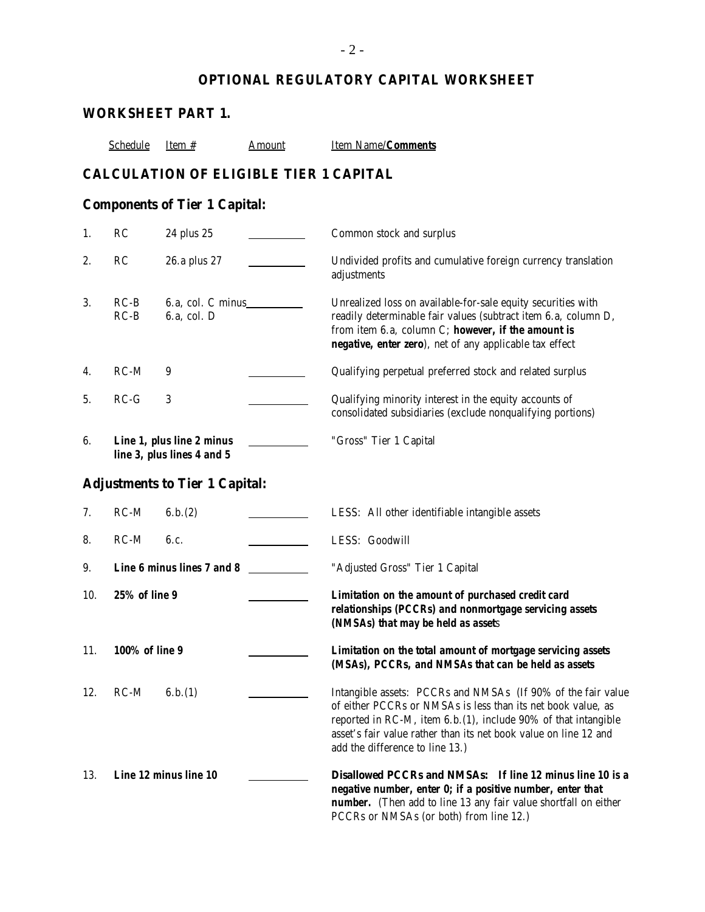# **OPTIONAL REGULATORY CAPITAL WORKSHEET**

|     |                       | <b>WORKSHEET PART 1.</b>                                |               |                                                                                                                                                                                                                                                                                                        |
|-----|-----------------------|---------------------------------------------------------|---------------|--------------------------------------------------------------------------------------------------------------------------------------------------------------------------------------------------------------------------------------------------------------------------------------------------------|
|     | <b>Schedule</b>       | Item $#$                                                | <b>Amount</b> | <b>Item Name/Comments</b>                                                                                                                                                                                                                                                                              |
|     |                       | <b>CALCULATION OF ELIGIBLE TIER 1 CAPITAL</b>           |               |                                                                                                                                                                                                                                                                                                        |
|     |                       | <b>Components of Tier 1 Capital:</b>                    |               |                                                                                                                                                                                                                                                                                                        |
| 1.  | RC                    | 24 plus 25                                              |               | Common stock and surplus                                                                                                                                                                                                                                                                               |
| 2.  | <b>RC</b>             | 26.a plus 27                                            |               | Undivided profits and cumulative foreign currency translation<br>adjustments                                                                                                                                                                                                                           |
| 3.  | $RC-B$<br>$RC-B$      | 6.a, col. C minus<br>6.a, col. D                        |               | Unrealized loss on available-for-sale equity securities with<br>readily determinable fair values (subtract item 6.a, column D,<br>from item 6.a, column C; however, if the amount is<br>negative, enter zero), net of any applicable tax effect                                                        |
| 4.  | $RC-M$                | 9                                                       |               | Qualifying perpetual preferred stock and related surplus                                                                                                                                                                                                                                               |
| 5.  | $RC-G$                | 3                                                       |               | Qualifying minority interest in the equity accounts of<br>consolidated subsidiaries (exclude nonqualifying portions)                                                                                                                                                                                   |
| 6.  |                       | Line 1, plus line 2 minus<br>line 3, plus lines 4 and 5 |               | "Gross" Tier 1 Capital                                                                                                                                                                                                                                                                                 |
|     |                       | <b>Adjustments to Tier 1 Capital:</b>                   |               |                                                                                                                                                                                                                                                                                                        |
| 7.  | $RC-M$                | 6.b.(2)                                                 |               | LESS: All other identifiable intangible assets                                                                                                                                                                                                                                                         |
| 8.  | $RC-M$                | 6.c.                                                    |               | LESS: Goodwill                                                                                                                                                                                                                                                                                         |
| 9.  |                       | Line 6 minus lines 7 and 8                              |               | "Adjusted Gross" Tier 1 Capital                                                                                                                                                                                                                                                                        |
| 10. | <b>25% of line 9</b>  |                                                         |               | Limitation on the amount of purchased credit card<br>relationships (PCCRs) and nonmortgage servicing assets<br>(NMSAs) that may be held as assets                                                                                                                                                      |
| 11. | <b>100% of line 9</b> |                                                         |               | Limitation on the total amount of mortgage servicing assets<br>(MSAs), PCCRs, and NMSAs that can be held as assets                                                                                                                                                                                     |
| 12. | $RC-M$                | 6.b.(1)                                                 |               | Intangible assets: PCCRs and NMSAs (If 90% of the fair value<br>of either PCCRs or NMSAs is less than its net book value, as<br>reported in RC-M, item 6.b. (1), include 90% of that intangible<br>asset's fair value rather than its net book value on line 12 and<br>add the difference to line 13.) |
| 13. |                       | Line 12 minus line 10                                   |               | Disallowed PCCRs and NMSAs: If line 12 minus line 10 is a<br>negative number, enter 0; if a positive number, enter that<br><b>number.</b> (Then add to line 13 any fair value shortfall on either                                                                                                      |

PCCRs or NMSAs (or both) from line 12.)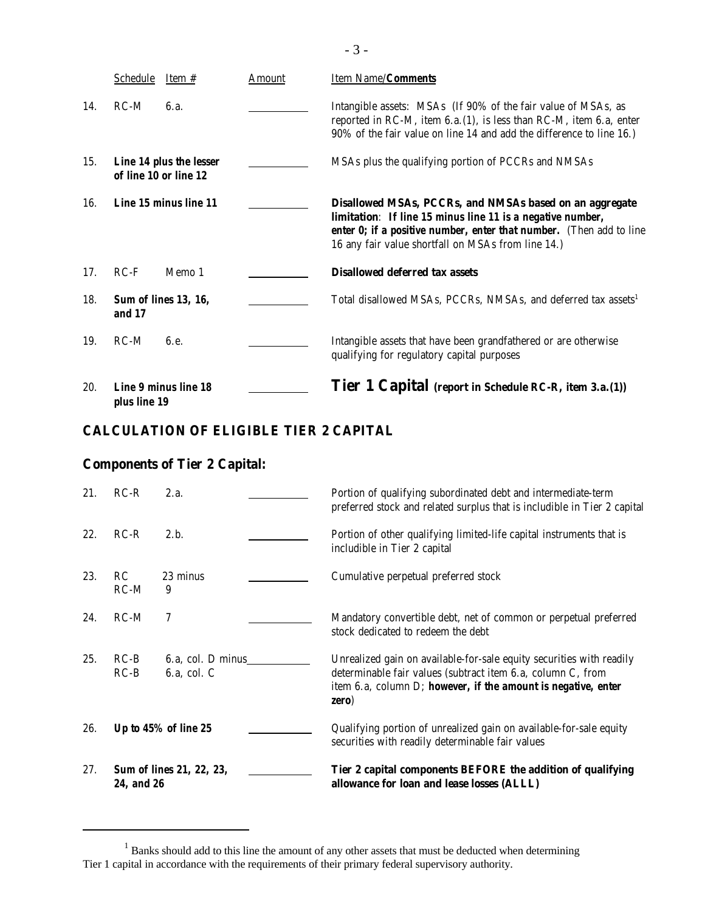|     | <b>Schedule</b><br>Item $#$                      | <u>Amount</u> | Item Name/Comments                                                                                                                                                                                                                                 |
|-----|--------------------------------------------------|---------------|----------------------------------------------------------------------------------------------------------------------------------------------------------------------------------------------------------------------------------------------------|
| 14. | $RC-M$<br>6.a.                                   |               | Intangible assets: MSAs (If 90% of the fair value of MSAs, as<br>reported in RC-M, item $6.a.(1)$ , is less than RC-M, item $6.a.$ enter<br>90% of the fair value on line 14 and add the difference to line 16.)                                   |
| 15. | Line 14 plus the lesser<br>of line 10 or line 12 |               | MSAs plus the qualifying portion of PCCRs and NMSAs                                                                                                                                                                                                |
| 16. | Line 15 minus line 11                            |               | Disallowed MSAs, PCCRs, and NMSAs based on an aggregate<br>limitation: If line 15 minus line 11 is a negative number,<br>enter 0; if a positive number, enter that number. (Then add to line<br>16 any fair value shortfall on MSAs from line 14.) |
| 17. | $RC-F$<br>Memo 1                                 |               | <b>Disallowed deferred tax assets</b>                                                                                                                                                                                                              |
| 18. | <b>Sum of lines 13, 16,</b><br>and 17            |               | Total disallowed MSAs, PCCRs, NMSAs, and deferred tax assets <sup>1</sup>                                                                                                                                                                          |
| 19. | $RC-M$<br>6.e.                                   |               | Intangible assets that have been grandfathered or are otherwise<br>qualifying for regulatory capital purposes                                                                                                                                      |
| 20. | <b>Line 9 minus line 18</b><br>plus line 19      |               | <b>Tier 1 Capital</b> (report in Schedule RC-R, item 3.a.(1))                                                                                                                                                                                      |

# **CALCULATION OF ELIGIBLE TIER 2 CAPITAL**

# **Components of Tier 2 Capital:**

| 21. | $RC-R$           | 2.a.                                  | Portion of qualifying subordinated debt and intermediate-term<br>preferred stock and related surplus that is includible in Tier 2 capital                                                                        |
|-----|------------------|---------------------------------------|------------------------------------------------------------------------------------------------------------------------------------------------------------------------------------------------------------------|
| 22. | $RC-R$           | 2.b.                                  | Portion of other qualifying limited-life capital instruments that is<br>includible in Tier 2 capital                                                                                                             |
| 23. | RC<br>$RC-M$     | 23 minus<br>9                         | Cumulative perpetual preferred stock                                                                                                                                                                             |
| 24. | $RC-M$           | 7                                     | Mandatory convertible debt, net of common or perpetual preferred<br>stock dedicated to redeem the debt                                                                                                           |
| 25. | $RC-B$<br>$RC-B$ | 6.a, col. D minus<br>$6.a$ , col. $C$ | Unrealized gain on available-for-sale equity securities with readily<br>determinable fair values (subtract item 6.a, column C, from<br>item $6.a$ , column D; however, if the amount is negative, enter<br>zero) |
| 26. |                  | Up to $45\%$ of line $25$             | Qualifying portion of unrealized gain on available-for-sale equity<br>securities with readily determinable fair values                                                                                           |
| 27. | 24, and 26       | <b>Sum of lines 21, 22, 23,</b>       | Tier 2 capital components BEFORE the addition of qualifying<br>allowance for loan and lease losses (ALLL)                                                                                                        |

 $1$  Banks should add to this line the amount of any other assets that must be deducted when determining Tier 1 capital in accordance with the requirements of their primary federal supervisory authority.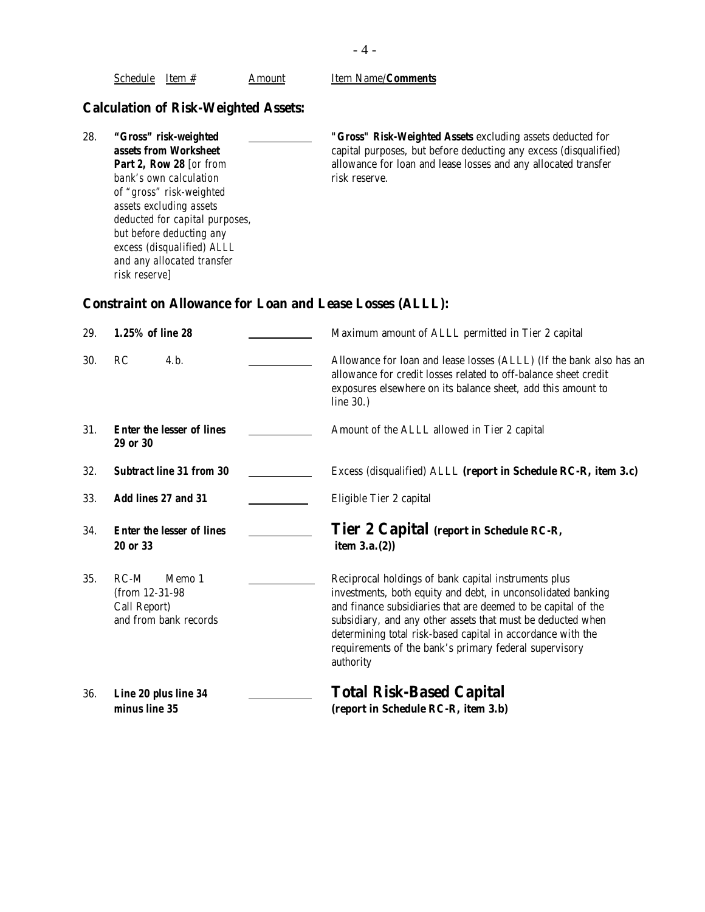|     | <b>Part 2, Row 28</b> [or from<br>bank's own calculation<br>of "gross" risk-weighted<br>assets excluding assets<br>deducted for capital purposes,<br>but before deducting any<br>excess (disqualified) ALLL<br>and any allocated transfer<br>risk reserve] | allowance for loan and lease losses and any allocated transfer<br>risk reserve.                                                                                                                                                                                                                                                                                                            |  |  |  |
|-----|------------------------------------------------------------------------------------------------------------------------------------------------------------------------------------------------------------------------------------------------------------|--------------------------------------------------------------------------------------------------------------------------------------------------------------------------------------------------------------------------------------------------------------------------------------------------------------------------------------------------------------------------------------------|--|--|--|
|     | <b>Constraint on Allowance for Loan and Lease Losses (ALLL):</b>                                                                                                                                                                                           |                                                                                                                                                                                                                                                                                                                                                                                            |  |  |  |
| 29. | 1.25% of line 28                                                                                                                                                                                                                                           | Maximum amount of ALLL permitted in Tier 2 capital                                                                                                                                                                                                                                                                                                                                         |  |  |  |
| 30. | 4.b.<br>RC                                                                                                                                                                                                                                                 | Allowance for loan and lease losses (ALLL) (If the bank also has an<br>allowance for credit losses related to off-balance sheet credit<br>exposures elsewhere on its balance sheet, add this amount to<br>line $30.$ )                                                                                                                                                                     |  |  |  |
| 31. | <b>Enter the lesser of lines</b><br><b>29 or 30</b>                                                                                                                                                                                                        | Amount of the ALLL allowed in Tier 2 capital                                                                                                                                                                                                                                                                                                                                               |  |  |  |
| 32. | <b>Subtract line 31 from 30</b>                                                                                                                                                                                                                            | Excess (disqualified) ALLL (report in Schedule RC-R, item 3.c)                                                                                                                                                                                                                                                                                                                             |  |  |  |
| 33. | <b>Add lines 27 and 31</b>                                                                                                                                                                                                                                 | Eligible Tier 2 capital                                                                                                                                                                                                                                                                                                                                                                    |  |  |  |
| 34. | <b>Enter the lesser of lines</b><br><b>20 or 33</b>                                                                                                                                                                                                        | Tier 2 Capital (report in Schedule RC-R,<br>item $3.a.(2)$ )                                                                                                                                                                                                                                                                                                                               |  |  |  |
| 35. | $RC-M$<br>Memo 1<br>(from 12-31-98)<br>Call Report)<br>and from bank records                                                                                                                                                                               | Reciprocal holdings of bank capital instruments plus<br>investments, both equity and debt, in unconsolidated banking<br>and finance subsidiaries that are deemed to be capital of the<br>subsidiary, and any other assets that must be deducted when<br>determining total risk-based capital in accordance with the<br>requirements of the bank's primary federal supervisory<br>authority |  |  |  |
| 36. | Line 20 plus line 34<br>minus line 35                                                                                                                                                                                                                      | <b>Total Risk-Based Capital</b><br>(report in Schedule RC-R, item 3.b)                                                                                                                                                                                                                                                                                                                     |  |  |  |
|     |                                                                                                                                                                                                                                                            |                                                                                                                                                                                                                                                                                                                                                                                            |  |  |  |

**Calculation of Risk-Weighted Assets:** 

Schedule Item # Amount Item Name/*Comments* 

# - 4 -

**assets from Worksheet capital purposes**, but before deducting any excess (disqualified)

28. *"Gross" risk-weighted "Gross" Risk-Weighted Assets* excluding assets deducted for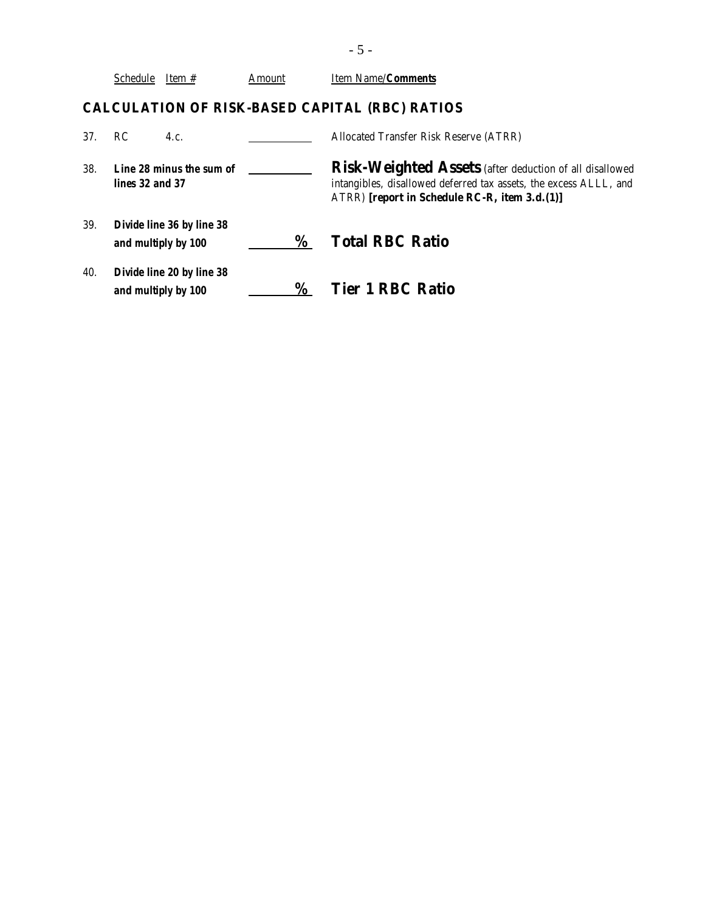|     | <b>Schedule</b> | Item #                                           | Amount | Item Name/ <b>Comments</b>                                                                                                                                                    |
|-----|-----------------|--------------------------------------------------|--------|-------------------------------------------------------------------------------------------------------------------------------------------------------------------------------|
|     |                 |                                                  |        | <b>CALCULATION OF RISK-BASED CAPITAL (RBC) RATIOS</b>                                                                                                                         |
| 37. | RC.             | 4.c.                                             |        | Allocated Transfer Risk Reserve (ATRR)                                                                                                                                        |
| 38. | lines 32 and 37 | Line 28 minus the sum of                         |        | Risk-Weighted Assets (after deduction of all disallowed<br>intangibles, disallowed deferred tax assets, the excess ALLL, and<br>ATRR) [report in Schedule RC-R, item 3.d.(1)] |
| 39. |                 | Divide line 36 by line 38<br>and multiply by 100 | %      | <b>Total RBC Ratio</b>                                                                                                                                                        |
| 40. |                 | Divide line 20 by line 38<br>and multiply by 100 | $\%$   | <b>Tier 1 RBC Ratio</b>                                                                                                                                                       |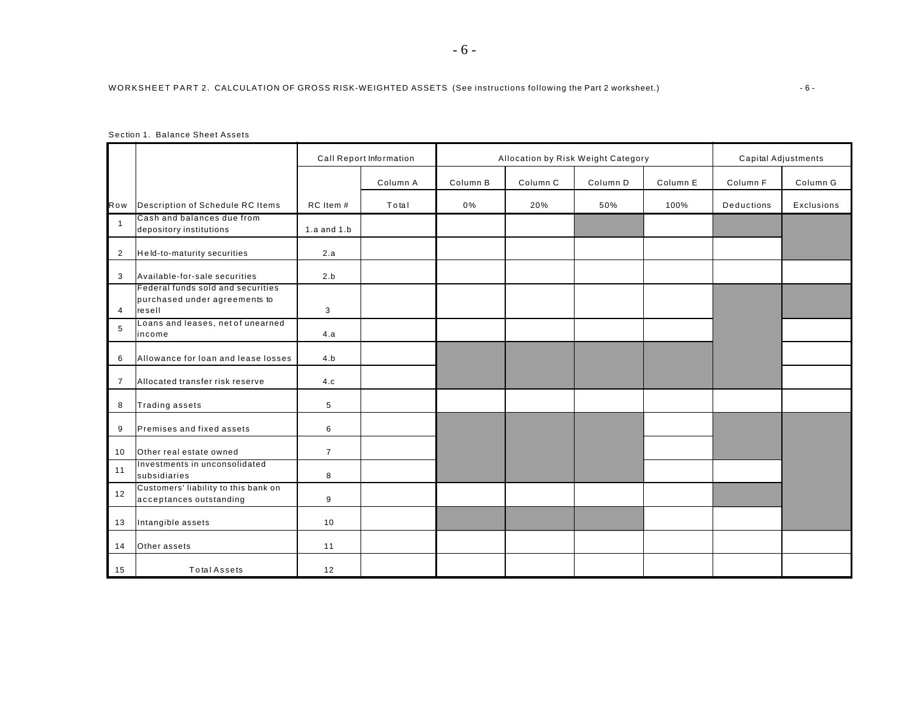|                |                                                                              | Call Report Information |          | Allocation by Risk Weight Category |          |          |          | Capital Adjustments |            |
|----------------|------------------------------------------------------------------------------|-------------------------|----------|------------------------------------|----------|----------|----------|---------------------|------------|
|                |                                                                              |                         | Column A | Column B                           | Column C | Column D | Column E | Column F            | Column G   |
| Row            | Description of Schedule RC Items                                             | RC Item #               | Total    | 0%                                 | 20%      | 50%      | 100%     | <b>Deductions</b>   | Exclusions |
| $\overline{1}$ | Cash and balances due from<br>depository institutions                        | 1.a and $1.b$           |          |                                    |          |          |          |                     |            |
| $\overline{2}$ | Held-to-maturity securities                                                  | 2.a                     |          |                                    |          |          |          |                     |            |
| 3              | Available-for-sale securities                                                | 2.b                     |          |                                    |          |          |          |                     |            |
| 4              | Federal funds sold and securities<br>purchased under agreements to<br>resell | 3                       |          |                                    |          |          |          |                     |            |
| 5              | Loans and leases, net of unearned<br>income                                  | 4.a                     |          |                                    |          |          |          |                     |            |
| 6              | Allowance for loan and lease losses                                          | 4.b                     |          |                                    |          |          |          |                     |            |
| $\overline{7}$ | Allocated transfer risk reserve                                              | 4.c                     |          |                                    |          |          |          |                     |            |
| 8              | Trading assets                                                               | 5                       |          |                                    |          |          |          |                     |            |
| 9              | Premises and fixed assets                                                    | 6                       |          |                                    |          |          |          |                     |            |
| 10             | Other real estate owned                                                      | $\overline{7}$          |          |                                    |          |          |          |                     |            |
| 11             | Investments in unconsolidated<br>subsidiaries                                | 8                       |          |                                    |          |          |          |                     |            |
| 12             | Customers' liability to this bank on<br>acceptances outstanding              | 9                       |          |                                    |          |          |          |                     |            |
| 13             | Intangible assets                                                            | 10                      |          |                                    |          |          |          |                     |            |
| 14             | Other assets                                                                 | 11                      |          |                                    |          |          |          |                     |            |
| 15             | <b>Total Assets</b>                                                          | 12                      |          |                                    |          |          |          |                     |            |

#### Section 1. Balance Sheet Assets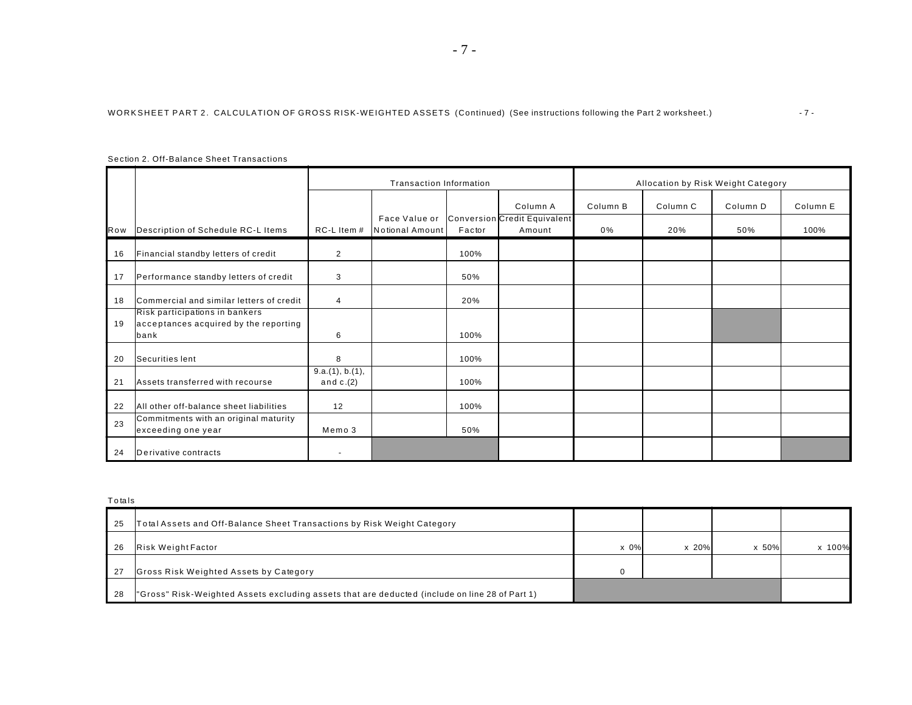|     | Section 2. Off-Balance Sheet Transactions                                       |                                |                                  |        |                                        |          |          |          |          |
|-----|---------------------------------------------------------------------------------|--------------------------------|----------------------------------|--------|----------------------------------------|----------|----------|----------|----------|
|     |                                                                                 |                                | Transaction Information          |        | Allocation by Risk Weight Category     |          |          |          |          |
|     |                                                                                 |                                |                                  |        | Column A                               | Column B | Column C | Column D | Column E |
| Row | Description of Schedule RC-L Items                                              | RC-L Item #                    | Face Value or<br>Notional Amount | Factor | Conversion Credit Equivalent<br>Amount | 0%       | 20%      | 50%      | 100%     |
| 16  | Financial standby letters of credit                                             | $\overline{2}$                 |                                  | 100%   |                                        |          |          |          |          |
| 17  | Performance standby letters of credit                                           | 3                              |                                  | 50%    |                                        |          |          |          |          |
| 18  | Commercial and similar letters of credit                                        | $\overline{4}$                 |                                  | 20%    |                                        |          |          |          |          |
| 19  | Risk participations in bankers<br>acceptances acquired by the reporting<br>bank | 6                              |                                  | 100%   |                                        |          |          |          |          |
| 20  | Securities lent                                                                 | 8                              |                                  | 100%   |                                        |          |          |          |          |
| 21  | Assets transferred with recourse                                                | 9.a.(1), b.(1),<br>and $c.(2)$ |                                  | 100%   |                                        |          |          |          |          |
| 22  | All other off-balance sheet liabilities                                         | 12                             |                                  | 100%   |                                        |          |          |          |          |
| 23  | Commitments with an original maturity<br>exceeding one year                     | Memo 3                         |                                  | 50%    |                                        |          |          |          |          |
| 24  | Derivative contracts                                                            | $\overline{\phantom{a}}$       |                                  |        |                                        |          |          |          |          |

Sec tion 2. Off-Balance Sheet Transactions

**T** o tals

| -25 | Total Assets and Off-Balance Sheet Transactions by Risk Weight Category                        |          |            |       |        |
|-----|------------------------------------------------------------------------------------------------|----------|------------|-------|--------|
| -26 | <b>Risk Weight Factor</b>                                                                      | $x\,0\%$ | $x \ 20\%$ | x 50% | x 100% |
| -27 | Gross Risk Weighted Assets by Category                                                         | n        |            |       |        |
| -28 | "Gross" Risk-Weighted Assets excluding assets that are deducted (include on line 28 of Part 1) |          |            |       |        |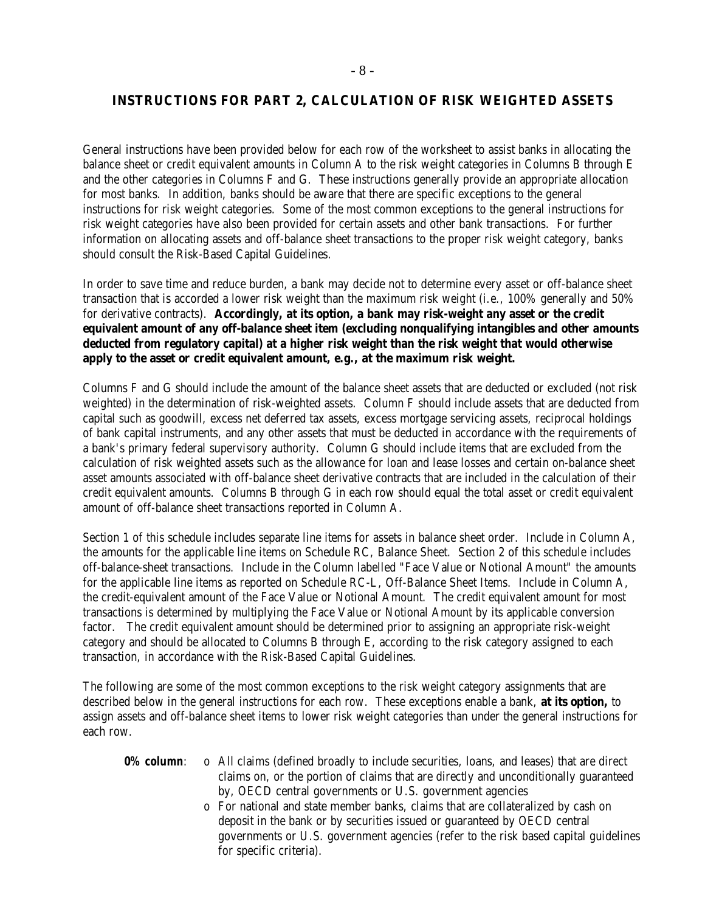# **INSTRUCTIONS FOR PART 2, CALCULATION OF RISK WEIGHTED ASSETS**

General instructions have been provided below for each row of the worksheet to assist banks in allocating the balance sheet or credit equivalent amounts in Column A to the risk weight categories in Columns B through E and the other categories in Columns F and G. These instructions generally provide an appropriate allocation for most banks. In addition, banks should be aware that there are specific exceptions to the general instructions for risk weight categories. Some of the most common exceptions to the general instructions for risk weight categories have also been provided for certain assets and other bank transactions. For further information on allocating assets and off-balance sheet transactions to the proper risk weight category, banks should consult the Risk-Based Capital Guidelines.

In order to save time and reduce burden, a bank may decide not to determine every asset or off-balance sheet transaction that is accorded a lower risk weight than the maximum risk weight (i.e., 100% generally and 50% for derivative contracts). **Accordingly, at its option, a bank may risk-weight any asset or the credit equivalent amount of any off-balance sheet item (excluding nonqualifying intangibles and other amounts deducted from regulatory capital) at a higher risk weight than the risk weight that would otherwise apply to the asset or credit equivalent amount, e.g., at the maximum risk weight.** 

Columns F and G should include the amount of the balance sheet assets that are deducted or excluded (not risk weighted) in the determination of risk-weighted assets. Column F should include assets that are deducted from capital such as goodwill, excess net deferred tax assets, excess mortgage servicing assets, reciprocal holdings of bank capital instruments, and any other assets that must be deducted in accordance with the requirements of a bank's primary federal supervisory authority. Column G should include items that are excluded from the calculation of risk weighted assets such as the allowance for loan and lease losses and certain on-balance sheet asset amounts associated with off-balance sheet derivative contracts that are included in the calculation of their credit equivalent amounts. Columns B through G in each row should equal the total asset or credit equivalent amount of off-balance sheet transactions reported in Column A.

Section 1 of this schedule includes separate line items for assets in balance sheet order. Include in Column A, the amounts for the applicable line items on Schedule RC, Balance Sheet. Section 2 of this schedule includes off-balance-sheet transactions. Include in the Column labelled "Face Value or Notional Amount" the amounts for the applicable line items as reported on Schedule RC-L, Off-Balance Sheet Items. Include in Column A, the credit-equivalent amount of the Face Value or Notional Amount. The credit equivalent amount for most transactions is determined by multiplying the Face Value or Notional Amount by its applicable conversion factor. The credit equivalent amount should be determined prior to assigning an appropriate risk-weight category and should be allocated to Columns B through E, according to the risk category assigned to each transaction, in accordance with the Risk-Based Capital Guidelines.

The following are some of the most common exceptions to the risk weight category assignments that are described below in the general instructions for each row. These exceptions enable a bank, **at its option,** to assign assets and off-balance sheet items to lower risk weight categories than under the general instructions for each row.

- **0% column:** o All claims (defined broadly to include securities, loans, and leases) that are direct claims on, or the portion of claims that are directly and unconditionally guaranteed by, OECD central governments or U.S. government agencies
	- o For national and state member banks, claims that are collateralized by cash on deposit in the bank or by securities issued or guaranteed by OECD central governments or U.S. government agencies (refer to the risk based capital guidelines for specific criteria).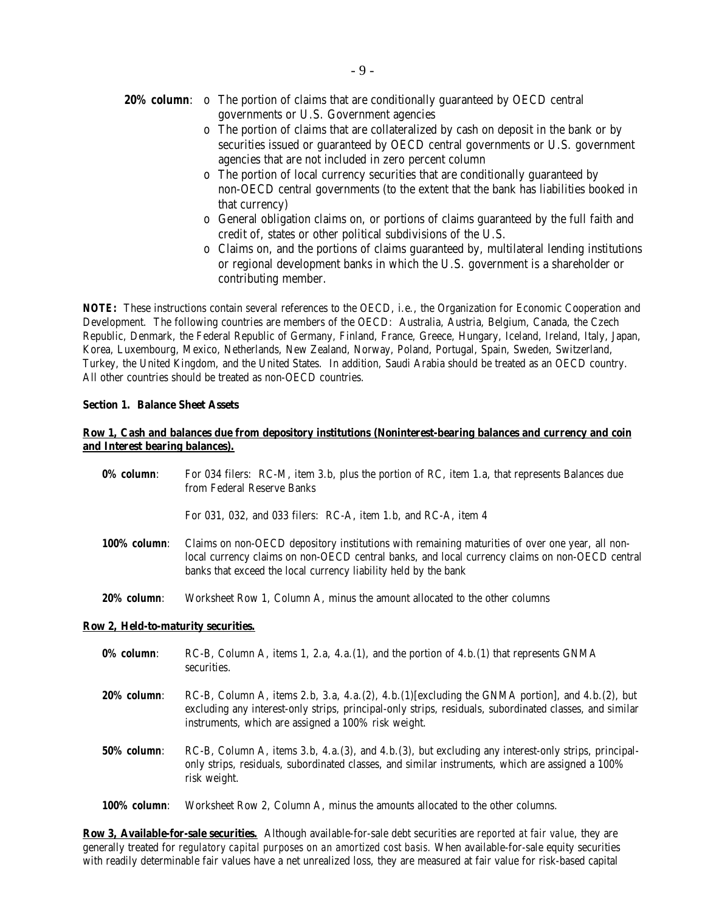- **20% column:** o The portion of claims that are conditionally guaranteed by OECD central governments or U.S. Government agencies
	- o The portion of claims that are collateralized by cash on deposit in the bank or by securities issued or guaranteed by OECD central governments or U.S. government agencies that are not included in zero percent column
	- o The portion of local currency securities that are conditionally guaranteed by non-OECD central governments (to the extent that the bank has liabilities booked in that currency)
	- o General obligation claims on, or portions of claims guaranteed by the full faith and credit of, states or other political subdivisions of the U.S.
	- o Claims on, and the portions of claims guaranteed by, multilateral lending institutions or regional development banks in which the U.S. government is a shareholder or contributing member.

*NOTE:* These instructions contain several references to the OECD, i.e., the Organization for Economic Cooperation and Development. The following countries are members of the OECD: Australia, Austria, Belgium, Canada, the Czech Republic, Denmark, the Federal Republic of Germany, Finland, France, Greece, Hungary, Iceland, Ireland, Italy, Japan, Korea, Luxembourg, Mexico, Netherlands, New Zealand, Norway, Poland, Portugal, Spain, Sweden, Switzerland, Turkey, the United Kingdom, and the United States. In addition, Saudi Arabia should be treated as an OECD country. All other countries should be treated as non-OECD countries.

## **Section 1. Balance Sheet Assets**

## **Row 1, Cash and balances due from depository institutions (Noninterest-bearing balances and currency and coin and Interest bearing balances).**

| 0% column:                          | For 034 filers: RC-M, item 3.b, plus the portion of RC, item 1.a, that represents Balances due<br>from Federal Reserve Banks                                                                                                                                         |
|-------------------------------------|----------------------------------------------------------------------------------------------------------------------------------------------------------------------------------------------------------------------------------------------------------------------|
|                                     | For 031, 032, and 033 filers: RC-A, item 1.b, and RC-A, item 4                                                                                                                                                                                                       |
| <b>100% column:</b>                 | Claims on non-OECD depository institutions with remaining maturities of over one year, all non-<br>local currency claims on non-OECD central banks, and local currency claims on non-OECD central<br>banks that exceed the local currency liability held by the bank |
| 20% column:                         | Worksheet Row 1, Column A, minus the amount allocated to the other columns                                                                                                                                                                                           |
| Row 2, Held-to-maturity securities. |                                                                                                                                                                                                                                                                      |
| 0% column:                          | RC-B, Column A, items 1, 2.a, 4.a. $(1)$ , and the portion of 4.b. $(1)$ that represents GNMA<br>securities.                                                                                                                                                         |
| 20% column:                         | RC-B, Column A, items 2.b, 3.a, 4.a.(2), 4.b.(1)[excluding the GNMA portion], and 4.b.(2), but<br>excluding any interest-only strips, principal-only strips, residuals, subordinated classes, and similar<br>instruments, which are assigned a 100% risk weight.     |
| <b>50% column:</b>                  | RC-B, Column A, items 3.b, 4.a. (3), and 4.b. (3), but excluding any interest-only strips, principal-<br>only strips, residuals, subordinated classes, and similar instruments, which are assigned a 100%<br>risk weight.                                            |

*100% column*: Worksheet Row 2, Column A, minus the amounts allocated to the other columns.

**Row 3, Available-for-sale securities.** Although available-for-sale debt securities are *reported at fair value*, they are generally treated for *regulatory capital purposes on an amortized cost basis.* When available-for-sale equity securities with readily determinable fair values have a net unrealized loss, they are measured at fair value for risk-based capital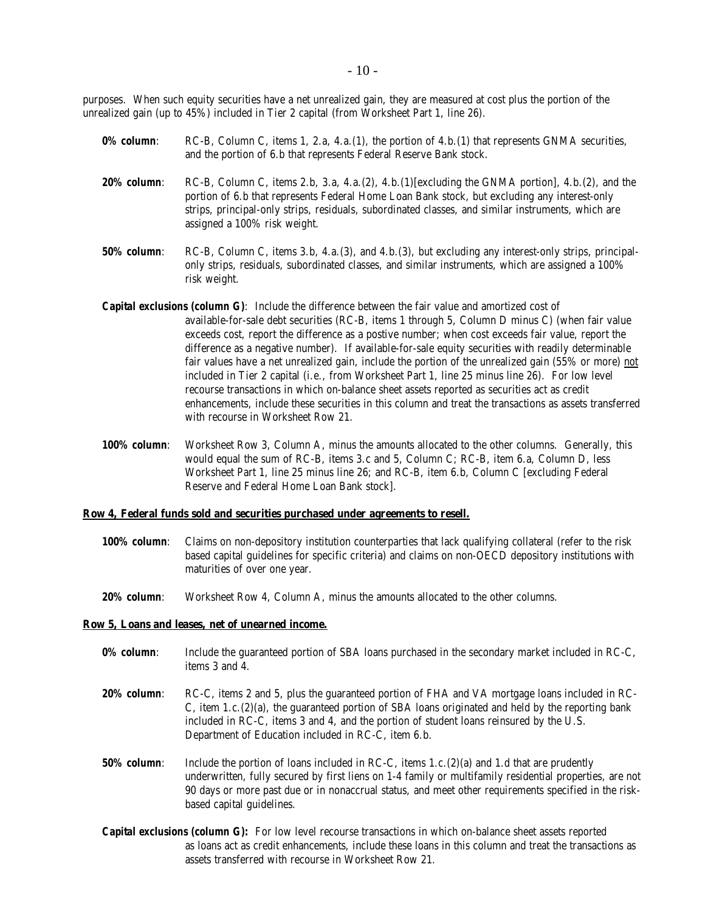purposes. When such equity securities have a net unrealized gain, they are measured at cost plus the portion of the unrealized gain (up to 45%) included in Tier 2 capital (from Worksheet Part 1, line 26).

- **0% column:** RC-B, Column C, items 1, 2.a, 4.a.(1), the portion of 4.b.(1) that represents GNMA securities, and the portion of 6.b that represents Federal Reserve Bank stock.
- *20% column*: RC-B, Column C, items 2.b, 3.a, 4.a.(2), 4.b.(1)[excluding the GNMA portion], 4.b.(2), and the portion of 6.b that represents Federal Home Loan Bank stock, but excluding any interest-only strips, principal-only strips, residuals, subordinated classes, and similar instruments, which are assigned a 100% risk weight.
- *50% column*: RC-B, Column C, items 3.b, 4.a.(3), and 4.b.(3), but excluding any interest-only strips, principalonly strips, residuals, subordinated classes, and similar instruments, which are assigned a 100% risk weight.
- *Capital exclusions (column G)*: Include the difference between the fair value and amortized cost of available-for-sale debt securities (RC-B, items 1 through 5, Column D minus C) (when fair value exceeds cost, report the difference as a postive number; when cost exceeds fair value, report the difference as a negative number). If available-for-sale equity securities with readily determinable fair values have a net unrealized gain, include the portion of the unrealized gain (55% or more) not included in Tier 2 capital (i.e., from Worksheet Part 1, line 25 minus line 26). For low level recourse transactions in which on-balance sheet assets reported as securities act as credit enhancements, include these securities in this column and treat the transactions as assets transferred with recourse in Worksheet Row 21.
- *100% column*: Worksheet Row 3, Column A, minus the amounts allocated to the other columns. Generally, this would equal the sum of RC-B, items 3.c and 5, Column C; RC-B, item 6.a, Column D, less Worksheet Part 1, line 25 minus line 26; and RC-B, item 6.b, Column C [excluding Federal Reserve and Federal Home Loan Bank stock].

#### **Row 4, Federal funds sold and securities purchased under agreements to resell.**

- *100% column*: Claims on non-depository institution counterparties that lack qualifying collateral (refer to the risk based capital guidelines for specific criteria) and claims on non-OECD depository institutions with maturities of over one year.
- *20% column*: Worksheet Row 4, Column A, minus the amounts allocated to the other columns.

#### **Row 5, Loans and leases, net of unearned income.**

- **0% column:** Include the guaranteed portion of SBA loans purchased in the secondary market included in RC-C, items 3 and 4.
- *20% column*: RC-C, items 2 and 5, plus the guaranteed portion of FHA and VA mortgage loans included in RC-C, item 1.c.(2)(a), the guaranteed portion of SBA loans originated and held by the reporting bank included in RC-C, items 3 and 4, and the portion of student loans reinsured by the U.S. Department of Education included in RC-C, item 6.b.
- *50% column*: Include the portion of loans included in RC-C, items 1.c.(2)(a) and 1.d that are prudently underwritten, fully secured by first liens on 1-4 family or multifamily residential properties, are not 90 days or more past due or in nonaccrual status, and meet other requirements specified in the riskbased capital guidelines.
- *Capital exclusions (column G):* For low level recourse transactions in which on-balance sheet assets reported as loans act as credit enhancements, include these loans in this column and treat the transactions as assets transferred with recourse in Worksheet Row 21.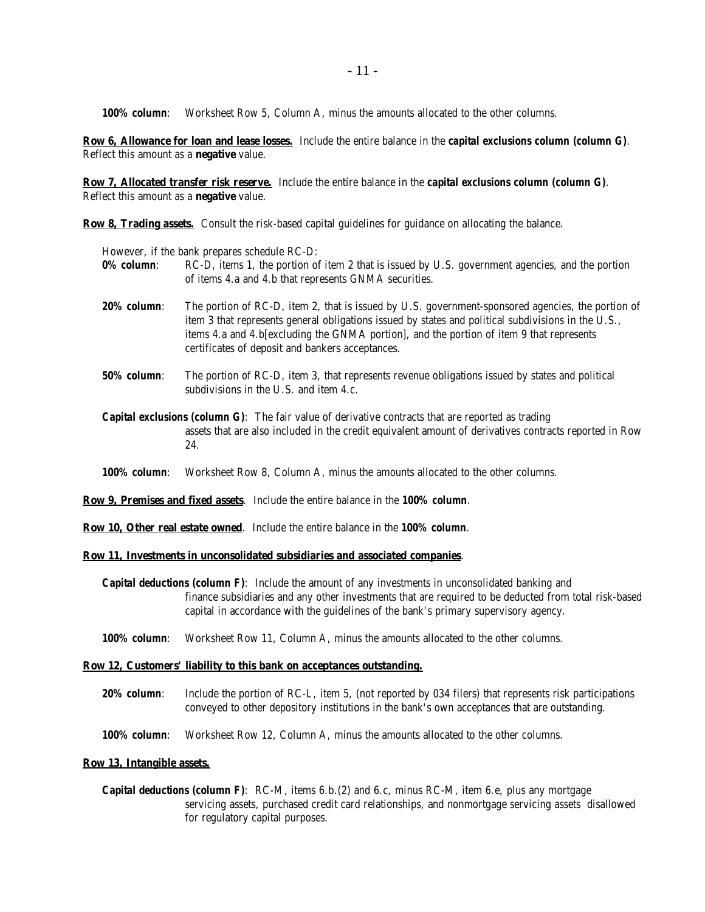*100% column*: Worksheet Row 5, Column A, minus the amounts allocated to the other columns.

**Row 6, Allowance for loan and lease losses.** Include the entire balance in the *capital exclusions column (column G)*. Reflect this amount as a **negative** value.

**Row 7, Allocated transfer risk reserve.** Include the entire balance in the *capital exclusions column (column G)*. Reflect this amount as a **negative** value.

**Row 8, Trading assets.** Consult the risk-based capital guidelines for guidance on allocating the balance.

However, if the bank prepares schedule RC-D:

- 0% column: RC-D, items 1, the portion of item 2 that is issued by U.S. government agencies, and the portion of items 4.a and 4.b that represents GNMA securities.
- *20% column*: The portion of RC-D, item 2, that is issued by U.S. government-sponsored agencies, the portion of item 3 that represents general obligations issued by states and political subdivisions in the U.S., items 4.a and 4.b[excluding the GNMA portion], and the portion of item 9 that represents certificates of deposit and bankers acceptances.
- *50% column*: The portion of RC-D, item 3, that represents revenue obligations issued by states and political subdivisions in the U.S. and item 4.c.
- *Capital exclusions (column G)*: The fair value of derivative contracts that are reported as trading assets that are also included in the credit equivalent amount of derivatives contracts reported in Row 24.
- *100% column*: Worksheet Row 8, Column A, minus the amounts allocated to the other columns.

**Row 9, Premises and fixed assets**. Include the entire balance in the *100% column*.

**Row 10, Other real estate owned**. Include the entire balance in the *100% column*.

#### **Row 11, Investments in unconsolidated subsidiaries and associated companies**.

- *Capital deductions (column F)*: Include the amount of any investments in unconsolidated banking and finance subsidiaries and any other investments that are required to be deducted from total risk-based capital in accordance with the guidelines of the bank's primary supervisory agency.
- *100% column*: Worksheet Row 11, Column A, minus the amounts allocated to the other columns.

#### **Row 12, Customers' liability to this bank on acceptances outstanding.**

- *20% column*: Include the portion of RC-L, item 5, (not reported by 034 filers) that represents risk participations conveyed to other depository institutions in the bank's own acceptances that are outstanding.
- *100% column*: Worksheet Row 12, Column A, minus the amounts allocated to the other columns.

#### **Row 13, Intangible assets.**

*Capital deductions (column F)*: RC-M, items 6.b.(2) and 6.c, minus RC-M, item 6.e, plus any mortgage servicing assets, purchased credit card relationships, and nonmortgage servicing assets disallowed for regulatory capital purposes.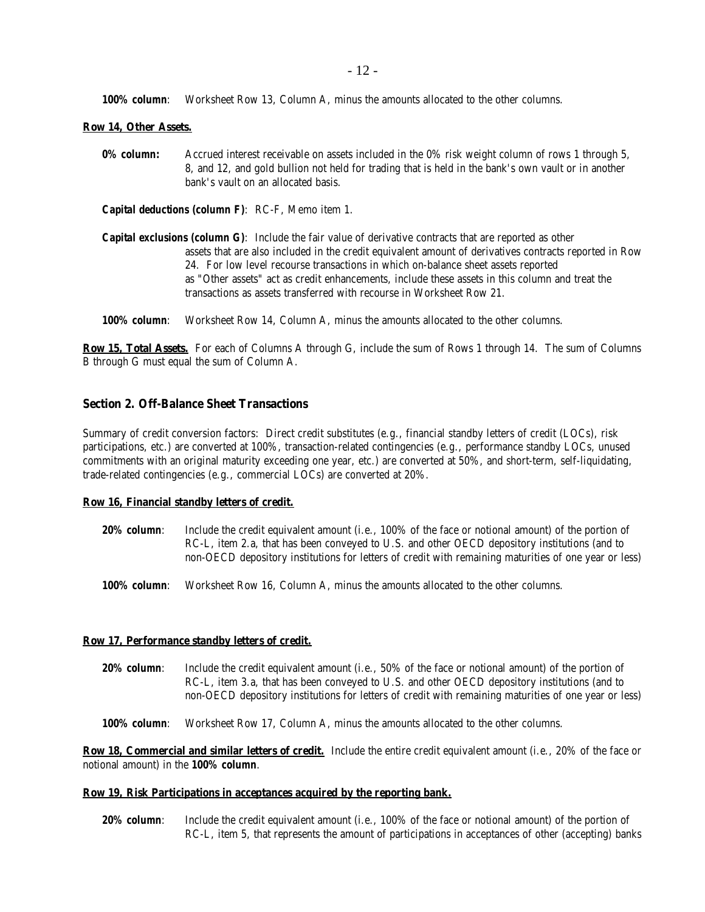*100% column*: Worksheet Row 13, Column A, minus the amounts allocated to the other columns.

### **Row 14, Other Assets.**

**0% column:** Accrued interest receivable on assets included in the 0% risk weight column of rows 1 through 5, 8, and 12, and gold bullion not held for trading that is held in the bank's own vault or in another bank's vault on an allocated basis.

*Capital deductions (column F)*: RC-F, Memo item 1.

- *Capital exclusions (column G)*: Include the fair value of derivative contracts that are reported as other assets that are also included in the credit equivalent amount of derivatives contracts reported in Row 24. For low level recourse transactions in which on-balance sheet assets reported as "Other assets" act as credit enhancements, include these assets in this column and treat the transactions as assets transferred with recourse in Worksheet Row 21.
- *100% column*: Worksheet Row 14, Column A, minus the amounts allocated to the other columns.

**Row 15, Total Assets.** For each of Columns A through G, include the sum of Rows 1 through 14. The sum of Columns B through G must equal the sum of Column A.

## **Section 2. Off-Balance Sheet Transactions**

Summary of credit conversion factors: Direct credit substitutes (e.g., financial standby letters of credit (LOCs), risk participations, etc.) are converted at 100%, transaction-related contingencies (e.g., performance standby LOCs, unused commitments with an original maturity exceeding one year, etc.) are converted at 50%, and short-term, self-liquidating, trade-related contingencies (e.g., commercial LOCs) are converted at 20%.

#### **Row 16, Financial standby letters of credit.**

- *20% column*: Include the credit equivalent amount (i.e., 100% of the face or notional amount) of the portion of RC-L, item 2.a, that has been conveyed to U.S. and other OECD depository institutions (and to non-OECD depository institutions for letters of credit with remaining maturities of one year or less)
- *100% column*: Worksheet Row 16, Column A, minus the amounts allocated to the other columns.

#### **Row 17, Performance standby letters of credit.**

*20% column*: Include the credit equivalent amount (i.e., 50% of the face or notional amount) of the portion of RC-L, item 3.a, that has been conveyed to U.S. and other OECD depository institutions (and to non-OECD depository institutions for letters of credit with remaining maturities of one year or less)

*100% column*: Worksheet Row 17, Column A, minus the amounts allocated to the other columns.

**Row 18, Commercial and similar letters of credit.** Include the entire credit equivalent amount (i.e., 20% of the face or notional amount) in the *100% column*.

### **Row 19, Risk Participations in acceptances acquired by the reporting bank.**

*20% column*: Include the credit equivalent amount (i.e., 100% of the face or notional amount) of the portion of RC-L, item 5, that represents the amount of participations in acceptances of other (accepting) banks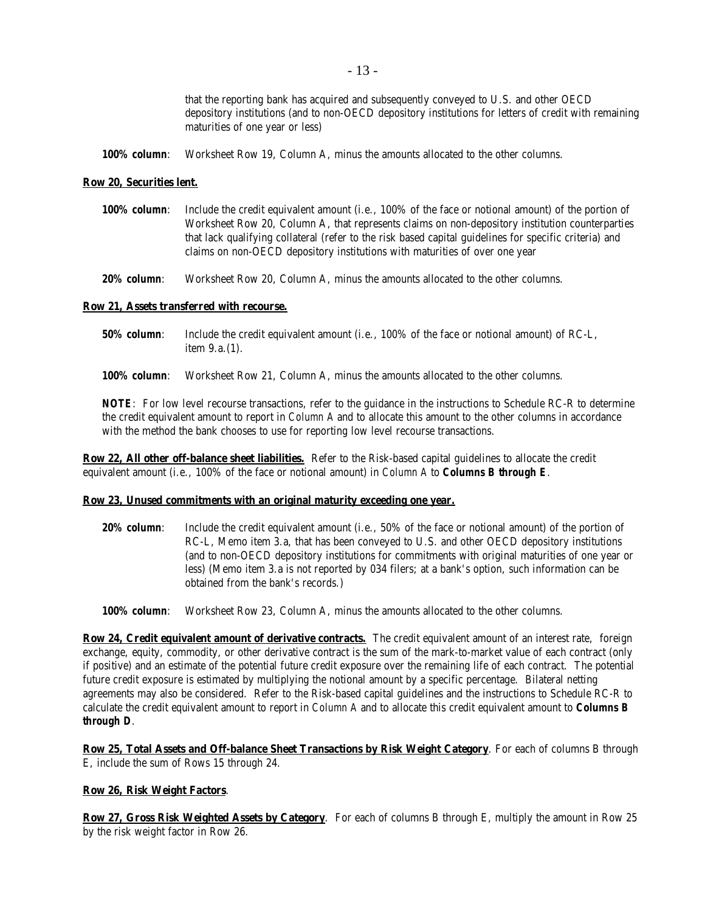|              | that the reporting bank has acquired and subsequently conveyed to U.S. and other OECD<br>depository institutions (and to non-OECD depository institutions for letters of credit with remaining<br>maturities of one year or less) |
|--------------|-----------------------------------------------------------------------------------------------------------------------------------------------------------------------------------------------------------------------------------|
| 100% column: | Worksheet Row 19, Column A, minus the amounts allocated to the other columns.                                                                                                                                                     |

#### **Row 20, Securities lent.**

| <b>100% column:</b> | Include the credit equivalent amount (i.e., 100% of the face or notional amount) of the portion of     |
|---------------------|--------------------------------------------------------------------------------------------------------|
|                     | Worksheet Row 20, Column A, that represents claims on non-depository institution counterparties        |
|                     | that lack qualifying collateral (refer to the risk based capital guidelines for specific criteria) and |
|                     | claims on non-OECD depository institutions with maturities of over one year                            |

*20% column*: Worksheet Row 20, Column A, minus the amounts allocated to the other columns.

### **Row 21, Assets transferred with recourse.**

| <b>50% column</b> : | Include the credit equivalent amount (i.e., 100% of the face or notional amount) of RC-L, |
|---------------------|-------------------------------------------------------------------------------------------|
|                     | item $9.a.(1)$ .                                                                          |

*100% column*: Worksheet Row 21, Column A, minus the amounts allocated to the other columns.

*NOTE*: For low level recourse transactions, refer to the guidance in the instructions to Schedule RC-R to determine the credit equivalent amount to report in *Column A* and to allocate this amount to the other columns in accordance with the method the bank chooses to use for reporting low level recourse transactions.

**Row 22, All other off-balance sheet liabilities.** Refer to the Risk-based capital guidelines to allocate the credit equivalent amount (i.e., 100% of the face or notional amount) in *Column A* to *Columns B through E*.

#### **Row 23, Unused commitments with an original maturity exceeding one year.**

*20% column*: Include the credit equivalent amount (i.e., 50% of the face or notional amount) of the portion of RC-L, Memo item 3.a, that has been conveyed to U.S. and other OECD depository institutions (and to non-OECD depository institutions for commitments with original maturities of one year or less) (Memo item 3.a is not reported by 034 filers; at a bank's option, such information can be obtained from the bank's records.)

*100% column*: Worksheet Row 23, Column A, minus the amounts allocated to the other columns.

**Row 24, Credit equivalent amount of derivative contracts.** The credit equivalent amount of an interest rate, foreign exchange, equity, commodity, or other derivative contract is the sum of the mark-to-market value of each contract (only if positive) and an estimate of the potential future credit exposure over the remaining life of each contract. The potential future credit exposure is estimated by multiplying the notional amount by a specific percentage. Bilateral netting agreements may also be considered. Refer to the Risk-based capital guidelines and the instructions to Schedule RC-R to calculate the credit equivalent amount to report in *Column A* and to allocate this credit equivalent amount to *Columns B through D*.

**Row 25, Total Assets and Off-balance Sheet Transactions by Risk Weight Category**. For each of columns B through E, include the sum of Rows 15 through 24.

## **Row 26, Risk Weight Factors**.

**Row 27, Gross Risk Weighted Assets by Category**. For each of columns B through E, multiply the amount in Row 25 by the risk weight factor in Row 26.